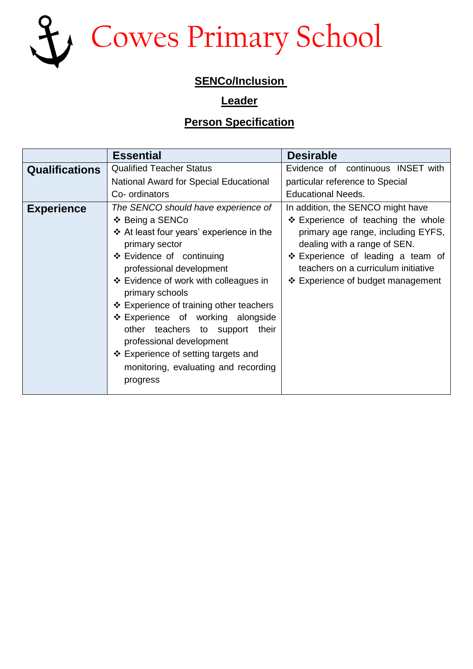

## **SENCo/Inclusion**

## **Leader**

## **Person Specification**

|                       | <b>Essential</b>                                                                                                                                                                                                                                                                                                                                                                                                                            | <b>Desirable</b>                                                                                                                                                                                                          |
|-----------------------|---------------------------------------------------------------------------------------------------------------------------------------------------------------------------------------------------------------------------------------------------------------------------------------------------------------------------------------------------------------------------------------------------------------------------------------------|---------------------------------------------------------------------------------------------------------------------------------------------------------------------------------------------------------------------------|
| <b>Qualifications</b> | <b>Qualified Teacher Status</b>                                                                                                                                                                                                                                                                                                                                                                                                             | Evidence of continuous INSET with                                                                                                                                                                                         |
|                       | National Award for Special Educational                                                                                                                                                                                                                                                                                                                                                                                                      | particular reference to Special                                                                                                                                                                                           |
|                       | Co- ordinators                                                                                                                                                                                                                                                                                                                                                                                                                              | <b>Educational Needs.</b>                                                                                                                                                                                                 |
| <b>Experience</b>     | The SENCO should have experience of                                                                                                                                                                                                                                                                                                                                                                                                         | In addition, the SENCO might have                                                                                                                                                                                         |
|                       | ❖ Being a SENCo<br>❖ At least four years' experience in the<br>primary sector<br>❖ Evidence of continuing<br>professional development<br>❖ Evidence of work with colleagues in<br>primary schools<br>❖ Experience of training other teachers<br>❖ Experience of working alongside<br>other teachers to support their<br>professional development<br>❖ Experience of setting targets and<br>monitoring, evaluating and recording<br>progress | ❖ Experience of teaching the whole<br>primary age range, including EYFS,<br>dealing with a range of SEN.<br>❖ Experience of leading a team of<br>teachers on a curriculum initiative<br>❖ Experience of budget management |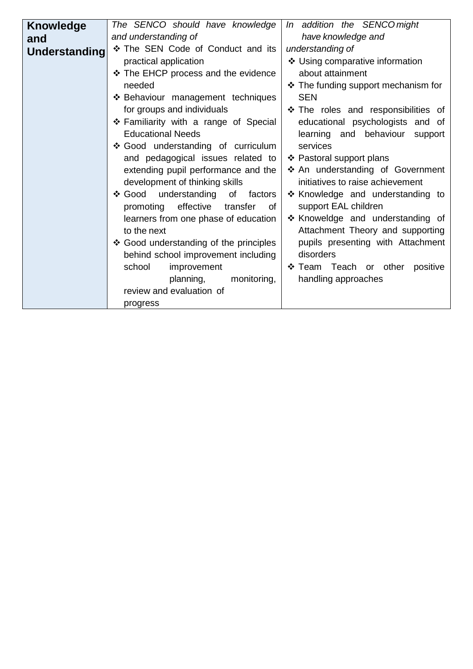| <b>Knowledge</b> | The SENCO should have knowledge          | In addition the SENCO might         |
|------------------|------------------------------------------|-------------------------------------|
| and              | and understanding of                     | have knowledge and                  |
| Understanding    | * The SEN Code of Conduct and its        | understanding of                    |
|                  | practical application                    | ❖ Using comparative information     |
|                  | ❖ The EHCP process and the evidence      | about attainment                    |
|                  | needed                                   | ❖ The funding support mechanism for |
|                  | ❖ Behaviour management techniques        | <b>SEN</b>                          |
|                  | for groups and individuals               | ❖ The roles and responsibilities of |
|                  | ❖ Familiarity with a range of Special    | educational psychologists and of    |
|                  | <b>Educational Needs</b>                 | learning and behaviour support      |
|                  | ❖ Good understanding of curriculum       | services                            |
|                  | and pedagogical issues related to        | ❖ Pastoral support plans            |
|                  | extending pupil performance and the      | ❖ An understanding of Government    |
|                  | development of thinking skills           | initiatives to raise achievement    |
|                  | ❖ Good understanding<br>of<br>factors    | ❖ Knowledge and understanding to    |
|                  | effective<br>promoting<br>transfer<br>0f | support EAL children                |
|                  | learners from one phase of education     | * Knoweldge and understanding of    |
|                  | to the next                              | Attachment Theory and supporting    |
|                  | ❖ Good understanding of the principles   | pupils presenting with Attachment   |
|                  | behind school improvement including      | disorders                           |
|                  | school<br>improvement                    | ❖ Team Teach or other<br>positive   |
|                  | planning,<br>monitoring,                 | handling approaches                 |
|                  | review and evaluation of                 |                                     |
|                  | progress                                 |                                     |